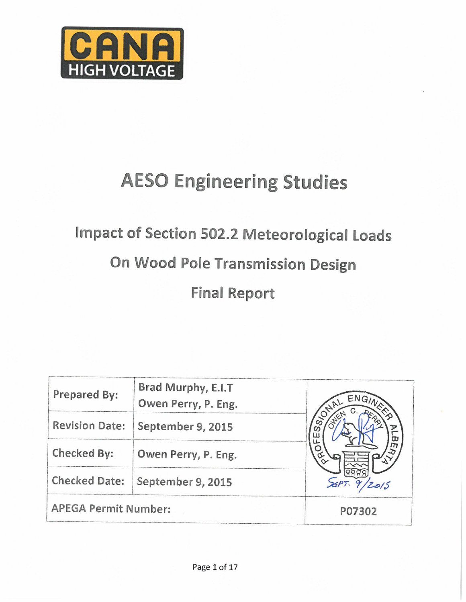

## **AESO Engineering Studies**

# Impact of Section 502.2 Meteorological Loads On Wood Pole Transmission Design **Final Report**

| Prepared By:                | Brad Murphy, E.I.T<br>Owen Perry, P. Eng. | ENG/1  |
|-----------------------------|-------------------------------------------|--------|
| <b>Revision Date:</b>       | September 9, 2015                         |        |
| Checked By:                 | Owen Perry, P. Eng.                       |        |
| <b>Checked Date:</b>        | September 9, 2015                         |        |
| <b>APEGA Permit Number:</b> |                                           | P07302 |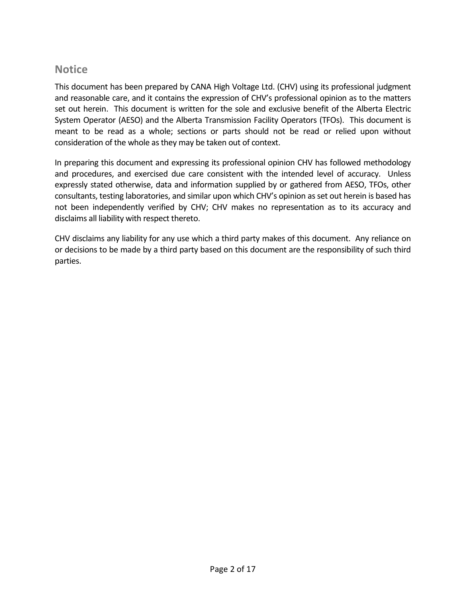## **Notice**

This document has been prepared by CANA High Voltage Ltd. (CHV) using its professional judgment and reasonable care, and it contains the expression of CHV's professional opinion as to the matters set out herein. This document is written for the sole and exclusive benefit of the Alberta Electric System Operator (AESO) and the Alberta Transmission Facility Operators (TFOs). This document is meant to be read as a whole; sections or parts should not be read or relied upon without consideration of the whole as they may be taken out of context.

In preparing this document and expressing its professional opinion CHV has followed methodology and procedures, and exercised due care consistent with the intended level of accuracy. Unless expressly stated otherwise, data and information supplied by or gathered from AESO, TFOs, other consultants, testing laboratories, and similar upon which CHV's opinion as set out herein is based has not been independently verified by CHV; CHV makes no representation as to its accuracy and disclaims all liability with respect thereto.

CHV disclaims any liability for any use which a third party makes of this document. Any reliance on or decisions to be made by a third party based on this document are the responsibility of such third parties.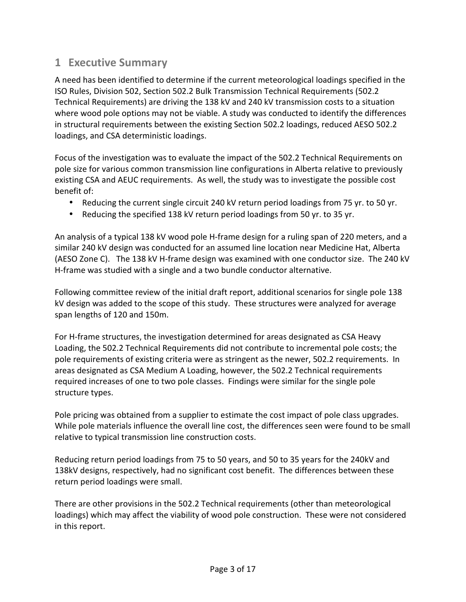## **1 Executive Summary**

A need has been identified to determine if the current meteorological loadings specified in the ISO Rules, Division 502, Section 502.2 Bulk Transmission Technical Requirements (502.2 Technical Requirements) are driving the 138 kV and 240 kV transmission costs to a situation where wood pole options may not be viable. A study was conducted to identify the differences in structural requirements between the existing Section 502.2 loadings, reduced AESO 502.2 loadings, and CSA deterministic loadings.

Focus of the investigation was to evaluate the impact of the 502.2 Technical Requirements on pole size for various common transmission line configurations in Alberta relative to previously existing CSA and AEUC requirements. As well, the study was to investigate the possible cost benefit of:

- Reducing the current single circuit 240 kV return period loadings from 75 yr. to 50 yr.
- Reducing the specified 138 kV return period loadings from 50 yr. to 35 yr.

An analysis of a typical 138 kV wood pole H-frame design for a ruling span of 220 meters, and a similar 240 kV design was conducted for an assumed line location near Medicine Hat, Alberta (AESO Zone C). The 138 kV H-frame design was examined with one conductor size. The 240 kV H-frame was studied with a single and a two bundle conductor alternative.

Following committee review of the initial draft report, additional scenarios for single pole 138 kV design was added to the scope of this study. These structures were analyzed for average span lengths of 120 and 150m.

For H-frame structures, the investigation determined for areas designated as CSA Heavy Loading, the 502.2 Technical Requirements did not contribute to incremental pole costs; the pole requirements of existing criteria were as stringent as the newer, 502.2 requirements. In areas designated as CSA Medium A Loading, however, the 502.2 Technical requirements required increases of one to two pole classes. Findings were similar for the single pole structure types.

Pole pricing was obtained from a supplier to estimate the cost impact of pole class upgrades. While pole materials influence the overall line cost, the differences seen were found to be small relative to typical transmission line construction costs.

Reducing return period loadings from 75 to 50 years, and 50 to 35 years for the 240kV and 138kV designs, respectively, had no significant cost benefit. The differences between these return period loadings were small.

There are other provisions in the 502.2 Technical requirements (other than meteorological loadings) which may affect the viability of wood pole construction. These were not considered in this report.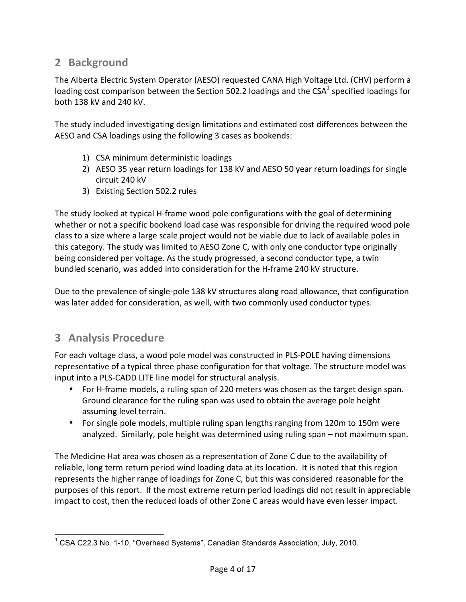## **2 Background**

The Alberta Electric System Operator (AESO) requested CANA High Voltage Ltd. (CHV) perform a loading cost comparison between the Section 502.2 loadings and the CSA<sup>1</sup> specified loadings for both 138 kV and 240 kV.

The study included investigating design limitations and estimated cost differences between the AESO and CSA loadings using the following 3 cases as bookends:

- 1) CSA minimum deterministic loadings
- 2) AESO 35 year return loadings for 138 kV and AESO 50 year return loadings for single circuit 240 kV
- 3) Existing Section 502.2 rules

The study looked at typical H-frame wood pole configurations with the goal of determining whether or not a specific bookend load case was responsible for driving the required wood pole class to a size where a large scale project would not be viable due to lack of available poles in this category. The study was limited to AESO Zone C, with only one conductor type originally being considered per voltage. As the study progressed, a second conductor type, a twin bundled scenario, was added into consideration for the H-frame 240 kV structure.

Due to the prevalence of single-pole 138 kV structures along road allowance, that configuration was later added for consideration, as well, with two commonly used conductor types.

## **3 Analysis Procedure**

.

For each voltage class, a wood pole model was constructed in PLS-POLE having dimensions representative of a typical three phase configuration for that voltage. The structure model was input into a PLS-CADD LITE line model for structural analysis.

- For H-frame models, a ruling span of 220 meters was chosen as the target design span. Ground clearance for the ruling span was used to obtain the average pole height assuming level terrain.
- For single pole models, multiple ruling span lengths ranging from 120m to 150m were analyzed. Similarly, pole height was determined using ruling span – not maximum span.

The Medicine Hat area was chosen as a representation of Zone C due to the availability of reliable, long term return period wind loading data at its location. It is noted that this region represents the higher range of loadings for Zone C, but this was considered reasonable for the purposes of this report. If the most extreme return period loadings did not result in appreciable impact to cost, then the reduced loads of other Zone C areas would have even lesser impact.

<sup>&</sup>lt;sup>1</sup> CSA C22.3 No. 1-10, "Overhead Systems", Canadian Standards Association, July, 2010.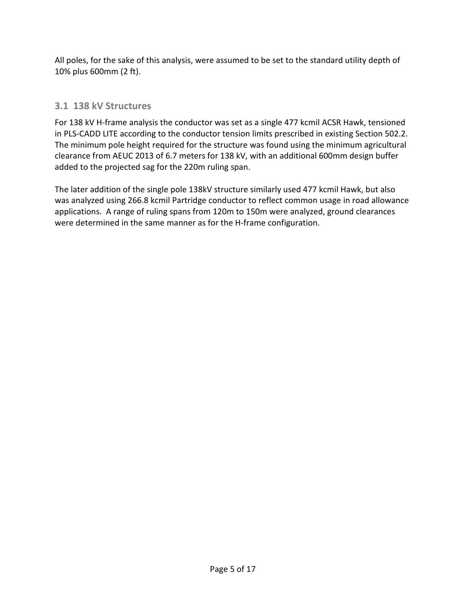All poles, for the sake of this analysis, were assumed to be set to the standard utility depth of 10% plus 600mm (2 ft).

## **3.1 138 kV Structures**

For 138 kV H-frame analysis the conductor was set as a single 477 kcmil ACSR Hawk, tensioned in PLS-CADD LITE according to the conductor tension limits prescribed in existing Section 502.2. The minimum pole height required for the structure was found using the minimum agricultural clearance from AEUC 2013 of 6.7 meters for 138 kV, with an additional 600mm design buffer added to the projected sag for the 220m ruling span.

The later addition of the single pole 138kV structure similarly used 477 kcmil Hawk, but also was analyzed using 266.8 kcmil Partridge conductor to reflect common usage in road allowance applications. A range of ruling spans from 120m to 150m were analyzed, ground clearances were determined in the same manner as for the H-frame configuration.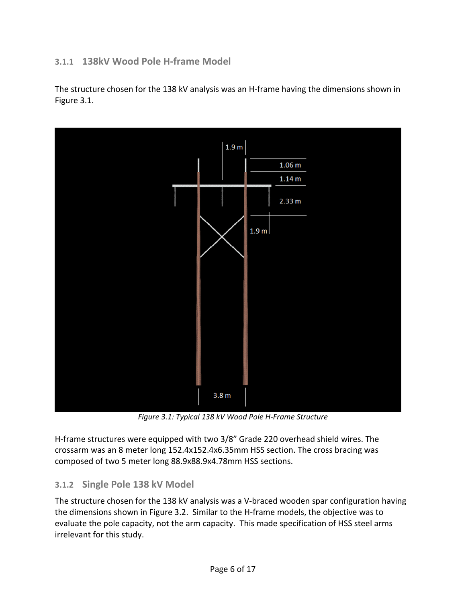## **3.1.1 138kV Wood Pole H-frame Model**

The structure chosen for the 138 kV analysis was an H-frame having the dimensions shown in Figure 3.1.



*Figure 3.1: Typical 138 kV Wood Pole H-Frame Structure* 

H-frame structures were equipped with two 3/8" Grade 220 overhead shield wires. The crossarm was an 8 meter long 152.4x152.4x6.35mm HSS section. The cross bracing was composed of two 5 meter long 88.9x88.9x4.78mm HSS sections.

#### **3.1.2 Single Pole 138 kV Model**

The structure chosen for the 138 kV analysis was a V-braced wooden spar configuration having the dimensions shown in Figure 3.2. Similar to the H-frame models, the objective was to evaluate the pole capacity, not the arm capacity. This made specification of HSS steel arms irrelevant for this study.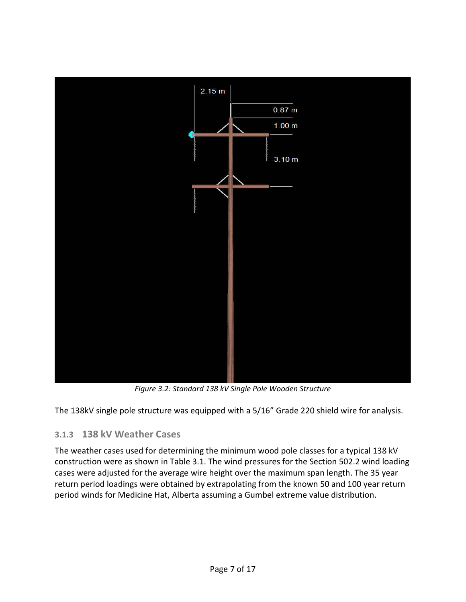

*Figure 3.2: Standard 138 kV Single Pole Wooden Structure* 

The 138kV single pole structure was equipped with a 5/16" Grade 220 shield wire for analysis.

## **3.1.3 138 kV Weather Cases**

The weather cases used for determining the minimum wood pole classes for a typical 138 kV construction were as shown in Table 3.1. The wind pressures for the Section 502.2 wind loading cases were adjusted for the average wire height over the maximum span length. The 35 year return period loadings were obtained by extrapolating from the known 50 and 100 year return period winds for Medicine Hat, Alberta assuming a Gumbel extreme value distribution.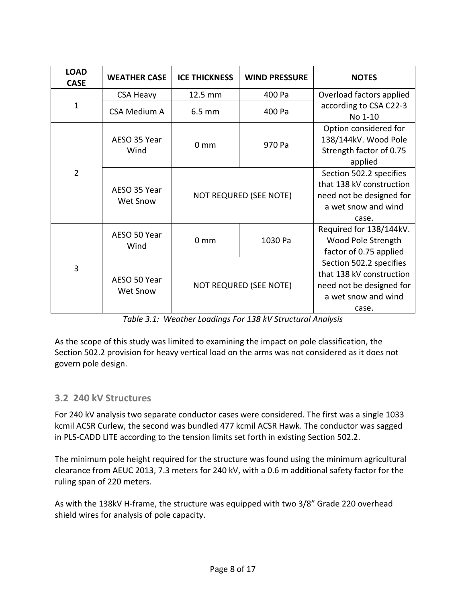| <b>LOAD</b><br><b>CASE</b> | <b>WEATHER CASE</b>      | <b>ICE THICKNESS</b>   | <b>WIND PRESSURE</b>   | <b>NOTES</b>                                                                                                    |
|----------------------------|--------------------------|------------------------|------------------------|-----------------------------------------------------------------------------------------------------------------|
|                            | <b>CSA Heavy</b>         | 12.5 mm                | 400 Pa                 | Overload factors applied                                                                                        |
| $\mathbf{1}$               | <b>CSA Medium A</b>      | $6.5 \text{ mm}$       | 400 Pa                 | according to CSA C22-3<br>No 1-10                                                                               |
|                            | AESO 35 Year<br>Wind     | 0 <sub>mm</sub>        | 970 Pa                 | Option considered for<br>138/144kV. Wood Pole<br>Strength factor of 0.75<br>applied                             |
| $\overline{2}$             | AESO 35 Year<br>Wet Snow |                        | NOT REQURED (SEE NOTE) | Section 502.2 specifies<br>that 138 kV construction<br>need not be designed for<br>a wet snow and wind<br>case. |
|                            | AESO 50 Year<br>Wind     | 0 <sub>mm</sub>        | 1030 Pa                | Required for 138/144kV.<br>Wood Pole Strength<br>factor of 0.75 applied                                         |
| $\overline{3}$             | AESO 50 Year<br>Wet Snow | NOT REQURED (SEE NOTE) |                        | Section 502.2 specifies<br>that 138 kV construction<br>need not be designed for<br>a wet snow and wind<br>case. |

*Table 3.1: Weather Loadings For 138 kV Structural Analysis* 

As the scope of this study was limited to examining the impact on pole classification, the Section 502.2 provision for heavy vertical load on the arms was not considered as it does not govern pole design.

## **3.2 240 kV Structures**

For 240 kV analysis two separate conductor cases were considered. The first was a single 1033 kcmil ACSR Curlew, the second was bundled 477 kcmil ACSR Hawk. The conductor was sagged in PLS-CADD LITE according to the tension limits set forth in existing Section 502.2.

The minimum pole height required for the structure was found using the minimum agricultural clearance from AEUC 2013, 7.3 meters for 240 kV, with a 0.6 m additional safety factor for the ruling span of 220 meters.

As with the 138kV H-frame, the structure was equipped with two 3/8" Grade 220 overhead shield wires for analysis of pole capacity.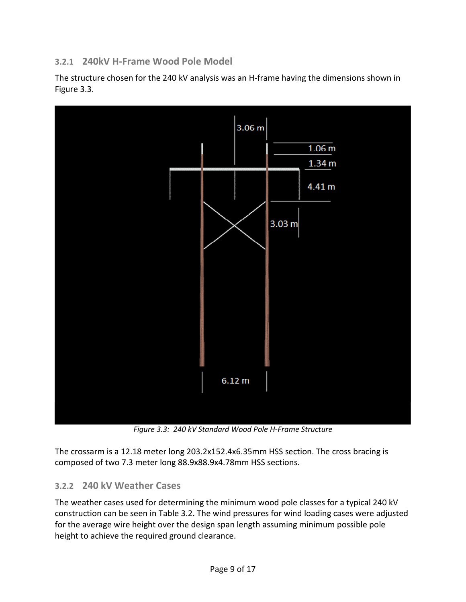## **3.2.1 240kV H-Frame Wood Pole Model**

The structure chosen for the 240 kV analysis was an H-frame having the dimensions shown in Figure 3.3.



*Figure 3.3: 240 kV Standard Wood Pole H-Frame Structure* 

The crossarm is a 12.18 meter long 203.2x152.4x6.35mm HSS section. The cross bracing is composed of two 7.3 meter long 88.9x88.9x4.78mm HSS sections.

#### **3.2.2 240 kV Weather Cases**

The weather cases used for determining the minimum wood pole classes for a typical 240 kV construction can be seen in Table 3.2. The wind pressures for wind loading cases were adjusted for the average wire height over the design span length assuming minimum possible pole height to achieve the required ground clearance.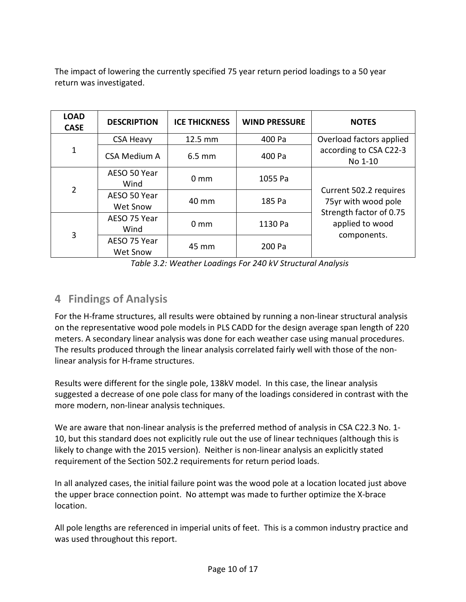The impact of lowering the currently specified 75 year return period loadings to a 50 year return was investigated.

| <b>LOAD</b><br><b>CASE</b> | <b>DESCRIPTION</b>       | <b>ICE THICKNESS</b> | <b>WIND PRESSURE</b> | <b>NOTES</b>                                                                                               |
|----------------------------|--------------------------|----------------------|----------------------|------------------------------------------------------------------------------------------------------------|
|                            | <b>CSA Heavy</b>         | 12.5 mm              | 400 Pa               | Overload factors applied                                                                                   |
| $\mathbf{1}$               | <b>CSA Medium A</b>      | $6.5 \text{ mm}$     | 400 Pa               | according to CSA C22-3<br>No 1-10                                                                          |
| $\overline{2}$             | AESO 50 Year<br>Wind     | $0 \text{ mm}$       | 1055 Pa              | Current 502.2 requires<br>75yr with wood pole<br>Strength factor of 0.75<br>applied to wood<br>components. |
|                            | AESO 50 Year<br>Wet Snow | 40 mm                | 185 Pa               |                                                                                                            |
| 3                          | AESO 75 Year<br>Wind     | $0 \text{ mm}$       | 1130 Pa              |                                                                                                            |
|                            | AESO 75 Year<br>Wet Snow | 45 mm                | 200 Pa               |                                                                                                            |

*Table 3.2: Weather Loadings For 240 kV Structural Analysis* 

## **4 Findings of Analysis**

For the H-frame structures, all results were obtained by running a non-linear structural analysis on the representative wood pole models in PLS CADD for the design average span length of 220 meters. A secondary linear analysis was done for each weather case using manual procedures. The results produced through the linear analysis correlated fairly well with those of the nonlinear analysis for H-frame structures.

Results were different for the single pole, 138kV model. In this case, the linear analysis suggested a decrease of one pole class for many of the loadings considered in contrast with the more modern, non-linear analysis techniques.

We are aware that non-linear analysis is the preferred method of analysis in CSA C22.3 No. 1- 10, but this standard does not explicitly rule out the use of linear techniques (although this is likely to change with the 2015 version). Neither is non-linear analysis an explicitly stated requirement of the Section 502.2 requirements for return period loads.

In all analyzed cases, the initial failure point was the wood pole at a location located just above the upper brace connection point. No attempt was made to further optimize the X-brace location.

All pole lengths are referenced in imperial units of feet. This is a common industry practice and was used throughout this report.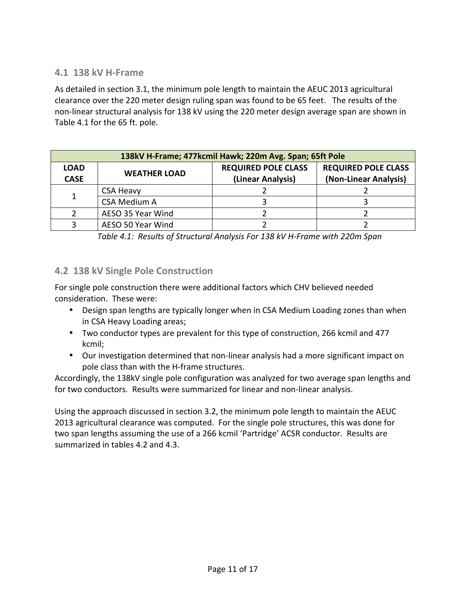#### **4.1 138 kV H-Frame**

As detailed in section 3.1, the minimum pole length to maintain the AEUC 2013 agricultural clearance over the 220 meter design ruling span was found to be 65 feet. The results of the non-linear structural analysis for 138 kV using the 220 meter design average span are shown in Table 4.1 for the 65 ft. pole.

| 138kV H-Frame; 477kcmil Hawk; 220m Avg. Span; 65ft Pole |                     |                                                 |                                                     |
|---------------------------------------------------------|---------------------|-------------------------------------------------|-----------------------------------------------------|
| <b>LOAD</b><br><b>CASE</b>                              | <b>WEATHER LOAD</b> | <b>REQUIRED POLE CLASS</b><br>(Linear Analysis) | <b>REQUIRED POLE CLASS</b><br>(Non-Linear Analysis) |
|                                                         | <b>CSA Heavy</b>    |                                                 |                                                     |
|                                                         | <b>CSA Medium A</b> |                                                 |                                                     |
|                                                         | AESO 35 Year Wind   |                                                 |                                                     |
|                                                         | AESO 50 Year Wind   |                                                 |                                                     |

*Table 4.1: Results of Structural Analysis For 138 kV H-Frame with 220m Span* 

#### **4.2 138 kV Single Pole Construction**

For single pole construction there were additional factors which CHV believed needed consideration. These were:

- Design span lengths are typically longer when in CSA Medium Loading zones than when in CSA Heavy Loading areas;
- Two conductor types are prevalent for this type of construction, 266 kcmil and 477 kcmil;
- Our investigation determined that non-linear analysis had a more significant impact on pole class than with the H-frame structures.

Accordingly, the 138kV single pole configuration was analyzed for two average span lengths and for two conductors. Results were summarized for linear and non-linear analysis.

Using the approach discussed in section 3.2, the minimum pole length to maintain the AEUC 2013 agricultural clearance was computed. For the single pole structures, this was done for two span lengths assuming the use of a 266 kcmil 'Partridge' ACSR conductor. Results are summarized in tables 4.2 and 4.3.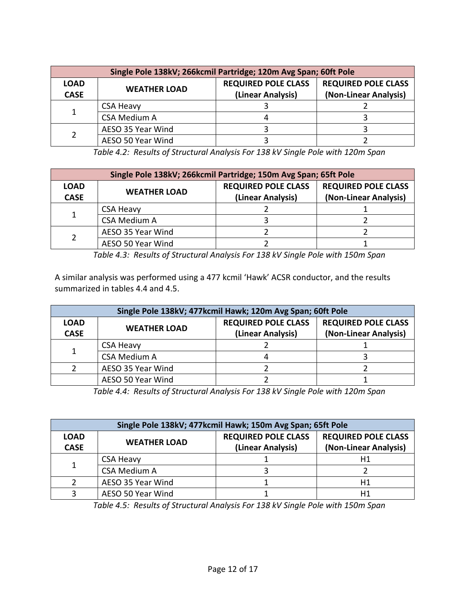| Single Pole 138kV; 266kcmil Partridge; 120m Avg Span; 60ft Pole |                     |                                                 |                                                     |  |
|-----------------------------------------------------------------|---------------------|-------------------------------------------------|-----------------------------------------------------|--|
| <b>LOAD</b><br><b>CASE</b>                                      | <b>WEATHER LOAD</b> | <b>REQUIRED POLE CLASS</b><br>(Linear Analysis) | <b>REQUIRED POLE CLASS</b><br>(Non-Linear Analysis) |  |
|                                                                 | <b>CSA Heavy</b>    |                                                 |                                                     |  |
|                                                                 | <b>CSA Medium A</b> |                                                 |                                                     |  |
|                                                                 | AESO 35 Year Wind   |                                                 |                                                     |  |
|                                                                 | AESO 50 Year Wind   |                                                 |                                                     |  |

*Table 4.2: Results of Structural Analysis For 138 kV Single Pole with 120m Span* 

| Single Pole 138kV; 266kcmil Partridge; 150m Avg Span; 65ft Pole |                     |                                                 |                                                     |
|-----------------------------------------------------------------|---------------------|-------------------------------------------------|-----------------------------------------------------|
| <b>LOAD</b><br><b>CASE</b>                                      | <b>WEATHER LOAD</b> | <b>REQUIRED POLE CLASS</b><br>(Linear Analysis) | <b>REQUIRED POLE CLASS</b><br>(Non-Linear Analysis) |
|                                                                 | <b>CSA Heavy</b>    |                                                 |                                                     |
|                                                                 | <b>CSA Medium A</b> |                                                 |                                                     |
|                                                                 | AESO 35 Year Wind   |                                                 |                                                     |
|                                                                 | AESO 50 Year Wind   |                                                 |                                                     |

*Table 4.3: Results of Structural Analysis For 138 kV Single Pole with 150m Span* 

A similar analysis was performed using a 477 kcmil 'Hawk' ACSR conductor, and the results summarized in tables 4.4 and 4.5.

| Single Pole 138kV; 477kcmil Hawk; 120m Avg Span; 60ft Pole |                     |                            |                            |
|------------------------------------------------------------|---------------------|----------------------------|----------------------------|
| <b>LOAD</b>                                                | <b>WEATHER LOAD</b> | <b>REQUIRED POLE CLASS</b> | <b>REQUIRED POLE CLASS</b> |
| <b>CASE</b>                                                |                     | (Linear Analysis)          | (Non-Linear Analysis)      |
| $\mathbf{1}$                                               | <b>CSA Heavy</b>    |                            |                            |
|                                                            | <b>CSA Medium A</b> |                            |                            |
|                                                            | AESO 35 Year Wind   |                            |                            |
|                                                            | AESO 50 Year Wind   |                            |                            |

*Table 4.4: Results of Structural Analysis For 138 kV Single Pole with 120m Span* 

| Single Pole 138kV; 477kcmil Hawk; 150m Avg Span; 65ft Pole |                     |                                                 |                                                     |
|------------------------------------------------------------|---------------------|-------------------------------------------------|-----------------------------------------------------|
| <b>LOAD</b><br><b>CASE</b>                                 | <b>WEATHER LOAD</b> | <b>REQUIRED POLE CLASS</b><br>(Linear Analysis) | <b>REQUIRED POLE CLASS</b><br>(Non-Linear Analysis) |
| 1                                                          | <b>CSA Heavy</b>    |                                                 | Η1                                                  |
|                                                            | <b>CSA Medium A</b> |                                                 |                                                     |
|                                                            | AESO 35 Year Wind   |                                                 | Η1                                                  |
|                                                            | AESO 50 Year Wind   |                                                 | Η1                                                  |

*Table 4.5: Results of Structural Analysis For 138 kV Single Pole with 150m Span*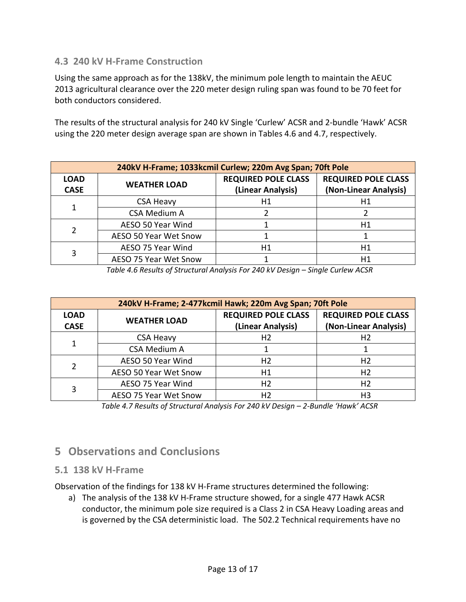#### **4.3 240 kV H-Frame Construction**

Using the same approach as for the 138kV, the minimum pole length to maintain the AEUC 2013 agricultural clearance over the 220 meter design ruling span was found to be 70 feet for both conductors considered.

The results of the structural analysis for 240 kV Single 'Curlew' ACSR and 2-bundle 'Hawk' ACSR using the 220 meter design average span are shown in Tables 4.6 and 4.7, respectively.

| 240kV H-Frame; 1033kcmil Curlew; 220m Avg Span; 70ft Pole |                       |                                                 |                                                     |
|-----------------------------------------------------------|-----------------------|-------------------------------------------------|-----------------------------------------------------|
| <b>LOAD</b><br><b>CASE</b>                                | <b>WEATHER LOAD</b>   | <b>REQUIRED POLE CLASS</b><br>(Linear Analysis) | <b>REQUIRED POLE CLASS</b><br>(Non-Linear Analysis) |
| 1                                                         | <b>CSA Heavy</b>      | Η1                                              | Η1                                                  |
|                                                           | <b>CSA Medium A</b>   | Η1                                              |                                                     |
| 2                                                         | AESO 50 Year Wind     |                                                 | H1                                                  |
|                                                           | AESO 50 Year Wet Snow |                                                 |                                                     |
|                                                           | AESO 75 Year Wind     |                                                 | Η1                                                  |
| 3                                                         | AESO 75 Year Wet Snow |                                                 | Η1                                                  |

*Table 4.6 Results of Structural Analysis For 240 kV Design – Single Curlew ACSR*

| 240kV H-Frame; 2-477 kcmil Hawk; 220m Avg Span; 70ft Pole |                       |                                                 |                                                     |
|-----------------------------------------------------------|-----------------------|-------------------------------------------------|-----------------------------------------------------|
| <b>LOAD</b><br><b>CASE</b>                                | <b>WEATHER LOAD</b>   | <b>REQUIRED POLE CLASS</b><br>(Linear Analysis) | <b>REQUIRED POLE CLASS</b><br>(Non-Linear Analysis) |
|                                                           | <b>CSA Heavy</b>      | H2                                              | H <sub>2</sub>                                      |
| 1                                                         | <b>CSA Medium A</b>   | Η2<br>Η1<br>H <sub>2</sub><br>Η2                |                                                     |
| 2                                                         | AESO 50 Year Wind     |                                                 | H <sub>2</sub>                                      |
|                                                           | AESO 50 Year Wet Snow |                                                 | H <sub>2</sub>                                      |
| 3                                                         | AESO 75 Year Wind     |                                                 | H <sub>2</sub>                                      |
|                                                           | AESO 75 Year Wet Snow |                                                 | H3                                                  |

*Table 4.7 Results of Structural Analysis For 240 kV Design – 2-Bundle 'Hawk' ACSR*

## **5 Observations and Conclusions**

#### **5.1 138 kV H-Frame**

Observation of the findings for 138 kV H-Frame structures determined the following:

a) The analysis of the 138 kV H-Frame structure showed, for a single 477 Hawk ACSR conductor, the minimum pole size required is a Class 2 in CSA Heavy Loading areas and is governed by the CSA deterministic load. The 502.2 Technical requirements have no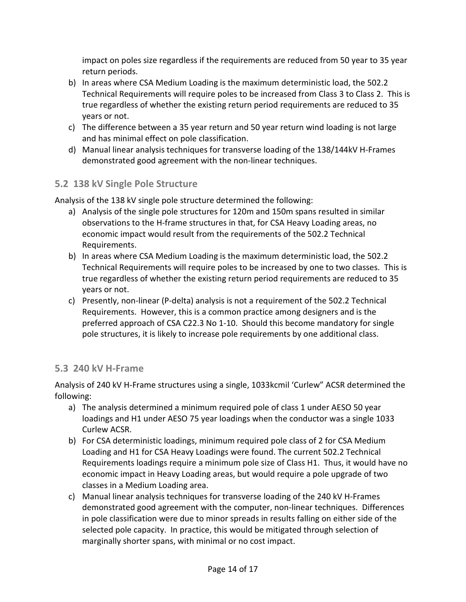impact on poles size regardless if the requirements are reduced from 50 year to 35 year return periods.

- b) In areas where CSA Medium Loading is the maximum deterministic load, the 502.2 Technical Requirements will require poles to be increased from Class 3 to Class 2. This is true regardless of whether the existing return period requirements are reduced to 35 years or not.
- c) The difference between a 35 year return and 50 year return wind loading is not large and has minimal effect on pole classification.
- d) Manual linear analysis techniques for transverse loading of the 138/144kV H-Frames demonstrated good agreement with the non-linear techniques.

## **5.2 138 kV Single Pole Structure**

Analysis of the 138 kV single pole structure determined the following:

- a) Analysis of the single pole structures for 120m and 150m spans resulted in similar observations to the H-frame structures in that, for CSA Heavy Loading areas, no economic impact would result from the requirements of the 502.2 Technical Requirements.
- b) In areas where CSA Medium Loading is the maximum deterministic load, the 502.2 Technical Requirements will require poles to be increased by one to two classes. This is true regardless of whether the existing return period requirements are reduced to 35 years or not.
- c) Presently, non-linear (P-delta) analysis is not a requirement of the 502.2 Technical Requirements. However, this is a common practice among designers and is the preferred approach of CSA C22.3 No 1-10. Should this become mandatory for single pole structures, it is likely to increase pole requirements by one additional class.

#### **5.3 240 kV H-Frame**

Analysis of 240 kV H-Frame structures using a single, 1033kcmil 'Curlew" ACSR determined the following:

- a) The analysis determined a minimum required pole of class 1 under AESO 50 year loadings and H1 under AESO 75 year loadings when the conductor was a single 1033 Curlew ACSR.
- b) For CSA deterministic loadings, minimum required pole class of 2 for CSA Medium Loading and H1 for CSA Heavy Loadings were found. The current 502.2 Technical Requirements loadings require a minimum pole size of Class H1. Thus, it would have no economic impact in Heavy Loading areas, but would require a pole upgrade of two classes in a Medium Loading area.
- c) Manual linear analysis techniques for transverse loading of the 240 kV H-Frames demonstrated good agreement with the computer, non-linear techniques. Differences in pole classification were due to minor spreads in results falling on either side of the selected pole capacity. In practice, this would be mitigated through selection of marginally shorter spans, with minimal or no cost impact.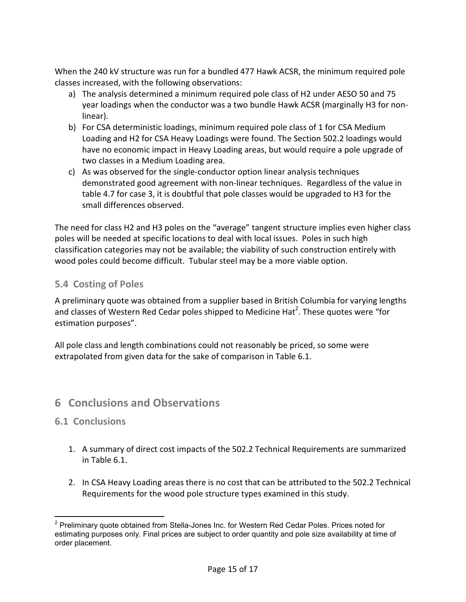When the 240 kV structure was run for a bundled 477 Hawk ACSR, the minimum required pole classes increased, with the following observations:

- a) The analysis determined a minimum required pole class of H2 under AESO 50 and 75 year loadings when the conductor was a two bundle Hawk ACSR (marginally H3 for nonlinear).
- b) For CSA deterministic loadings, minimum required pole class of 1 for CSA Medium Loading and H2 for CSA Heavy Loadings were found. The Section 502.2 loadings would have no economic impact in Heavy Loading areas, but would require a pole upgrade of two classes in a Medium Loading area.
- c) As was observed for the single-conductor option linear analysis techniques demonstrated good agreement with non-linear techniques. Regardless of the value in table 4.7 for case 3, it is doubtful that pole classes would be upgraded to H3 for the small differences observed.

The need for class H2 and H3 poles on the "average" tangent structure implies even higher class poles will be needed at specific locations to deal with local issues. Poles in such high classification categories may not be available; the viability of such construction entirely with wood poles could become difficult. Tubular steel may be a more viable option.

#### **5.4 Costing of Poles**

A preliminary quote was obtained from a supplier based in British Columbia for varying lengths and classes of Western Red Cedar poles shipped to Medicine Hat<sup>2</sup>. These quotes were "for estimation purposes".

All pole class and length combinations could not reasonably be priced, so some were extrapolated from given data for the sake of comparison in Table 6.1.

## **6 Conclusions and Observations**

#### **6.1 Conclusions**

- 1. A summary of direct cost impacts of the 502.2 Technical Requirements are summarized in Table 6.1.
- 2. In CSA Heavy Loading areas there is no cost that can be attributed to the 502.2 Technical Requirements for the wood pole structure types examined in this study.

j <sup>2</sup> Preliminary quote obtained from Stella-Jones Inc. for Western Red Cedar Poles. Prices noted for estimating purposes only. Final prices are subject to order quantity and pole size availability at time of order placement.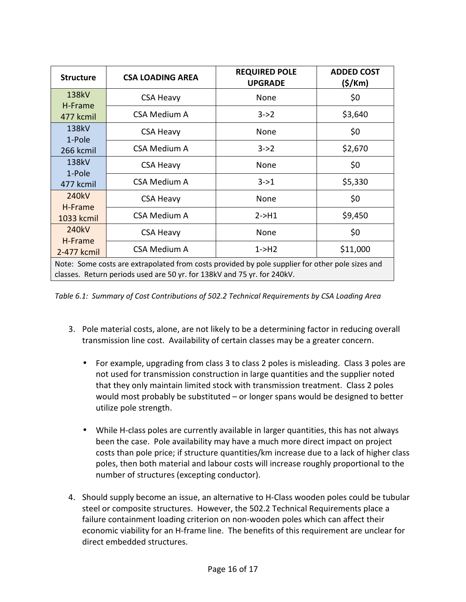| <b>Structure</b>                                                                                                                                                           | <b>CSA LOADING AREA</b> | <b>REQUIRED POLE</b><br><b>UPGRADE</b> | <b>ADDED COST</b><br>(\$/Km) |
|----------------------------------------------------------------------------------------------------------------------------------------------------------------------------|-------------------------|----------------------------------------|------------------------------|
| 138kV                                                                                                                                                                      | <b>CSA Heavy</b>        | None                                   | \$0                          |
| H-Frame<br>477 kcmil                                                                                                                                                       | <b>CSA Medium A</b>     | $3 - 2$                                | \$3,640                      |
| 138kV                                                                                                                                                                      | <b>CSA Heavy</b>        | None                                   | \$0                          |
| 1-Pole<br>266 kcmil                                                                                                                                                        | <b>CSA Medium A</b>     | $3 - 2$                                | \$2,670                      |
| 138kV                                                                                                                                                                      | <b>CSA Heavy</b>        | None                                   | \$0                          |
| 1-Pole<br>477 kcmil                                                                                                                                                        | CSA Medium A            | $3 - 21$                               | \$5,330                      |
| 240kV                                                                                                                                                                      | <b>CSA Heavy</b>        | None                                   | \$0                          |
| H-Frame<br>1033 kcmil                                                                                                                                                      | <b>CSA Medium A</b>     | $2 - H1$                               | \$9,450                      |
| 240kV                                                                                                                                                                      | <b>CSA Heavy</b>        | None                                   | \$0                          |
| H-Frame<br>2-477 kcmil                                                                                                                                                     | <b>CSA Medium A</b>     | $1 - H2$                               | \$11,000                     |
| Note: Some costs are extrapolated from costs provided by pole supplier for other pole sizes and<br>classes. Return periods used are 50 yr. for 138kV and 75 yr. for 240kV. |                         |                                        |                              |

*Table 6.1: Summary of Cost Contributions of 502.2 Technical Requirements by CSA Loading Area* 

- 3. Pole material costs, alone, are not likely to be a determining factor in reducing overall transmission line cost. Availability of certain classes may be a greater concern.
	- For example, upgrading from class 3 to class 2 poles is misleading. Class 3 poles are not used for transmission construction in large quantities and the supplier noted that they only maintain limited stock with transmission treatment. Class 2 poles would most probably be substituted – or longer spans would be designed to better utilize pole strength.
	- While H-class poles are currently available in larger quantities, this has not always been the case. Pole availability may have a much more direct impact on project costs than pole price; if structure quantities/km increase due to a lack of higher class poles, then both material and labour costs will increase roughly proportional to the number of structures (excepting conductor).
- 4. Should supply become an issue, an alternative to H-Class wooden poles could be tubular steel or composite structures. However, the 502.2 Technical Requirements place a failure containment loading criterion on non-wooden poles which can affect their economic viability for an H-frame line. The benefits of this requirement are unclear for direct embedded structures.